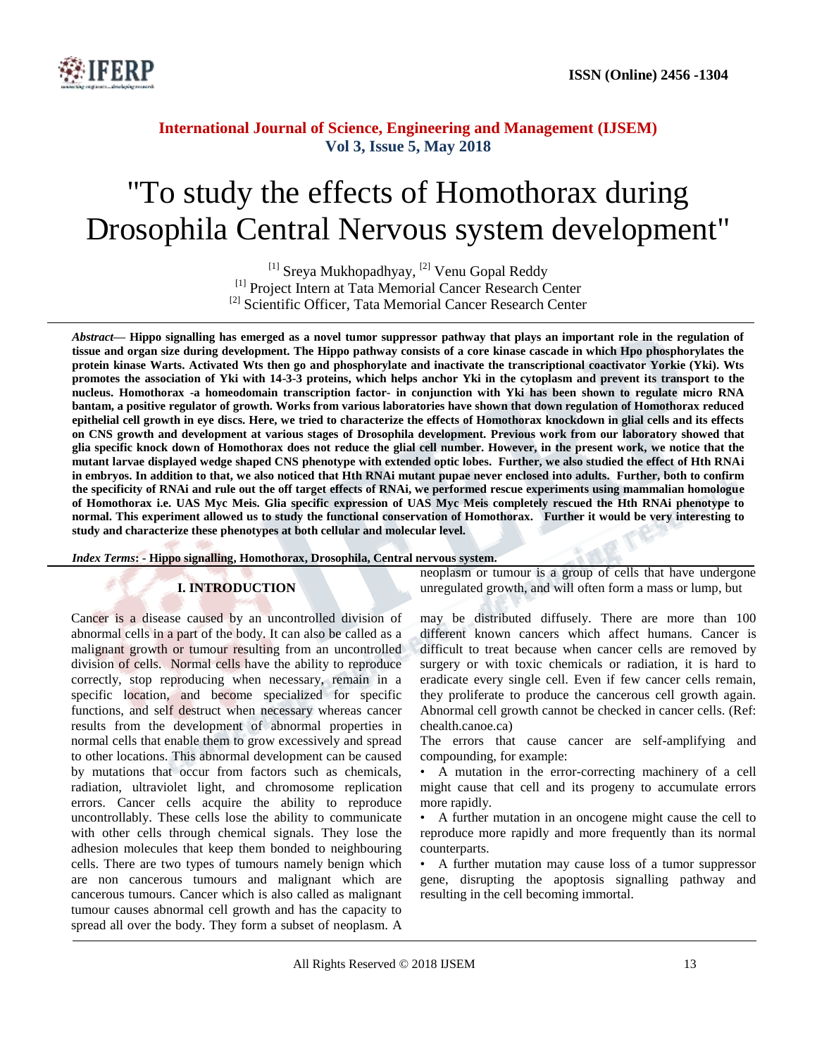

# "To study the effects of Homothorax during Drosophila Central Nervous system development"

<sup>[1]</sup> Sreya Mukhopadhyay, <sup>[2]</sup> Venu Gopal Reddy <sup>[1]</sup> Project Intern at Tata Memorial Cancer Research Center <sup>[2]</sup> Scientific Officer, Tata Memorial Cancer Research Center

*Abstract—* **Hippo signalling has emerged as a novel tumor suppressor pathway that plays an important role in the regulation of tissue and organ size during development. The Hippo pathway consists of a core kinase cascade in which Hpo phosphorylates the protein kinase Warts. Activated Wts then go and phosphorylate and inactivate the transcriptional coactivator Yorkie (Yki). Wts promotes the association of Yki with 14-3-3 proteins, which helps anchor Yki in the cytoplasm and prevent its transport to the nucleus. Homothorax -a homeodomain transcription factor- in conjunction with Yki has been shown to regulate micro RNA bantam, a positive regulator of growth. Works from various laboratories have shown that down regulation of Homothorax reduced epithelial cell growth in eye discs. Here, we tried to characterize the effects of Homothorax knockdown in glial cells and its effects on CNS growth and development at various stages of Drosophila development. Previous work from our laboratory showed that glia specific knock down of Homothorax does not reduce the glial cell number. However, in the present work, we notice that the mutant larvae displayed wedge shaped CNS phenotype with extended optic lobes. Further, we also studied the effect of Hth RNAi in embryos. In addition to that, we also noticed that Hth RNAi mutant pupae never enclosed into adults. Further, both to confirm the specificity of RNAi and rule out the off target effects of RNAi, we performed rescue experiments using mammalian homologue of Homothorax i.e. UAS Myc Meis. Glia specific expression of UAS Myc Meis completely rescued the Hth RNAi phenotype to normal. This experiment allowed us to study the functional conservation of Homothorax. Further it would be very interesting to study and characterize these phenotypes at both cellular and molecular level.**

*Index Terms***: - Hippo signalling, Homothorax, Drosophila, Central nervous system.**

## **I. INTRODUCTION**

Cancer is a disease caused by an uncontrolled division of abnormal cells in a part of the body. It can also be called as a malignant growth or tumour resulting from an uncontrolled division of cells. Normal cells have the ability to reproduce correctly, stop reproducing when necessary, remain in a specific location, and become specialized for specific functions, and self destruct when necessary whereas cancer results from the development of abnormal properties in normal cells that enable them to grow excessively and spread to other locations. This abnormal development can be caused by mutations that occur from factors such as chemicals, radiation, ultraviolet light, and chromosome replication errors. Cancer cells acquire the ability to reproduce uncontrollably. These cells lose the ability to communicate with other cells through chemical signals. They lose the adhesion molecules that keep them bonded to neighbouring cells. There are two types of tumours namely benign which are non cancerous tumours and malignant which are cancerous tumours. Cancer which is also called as malignant tumour causes abnormal cell growth and has the capacity to spread all over the body. They form a subset of neoplasm. A neoplasm or tumour is a group of cells that have undergone unregulated growth, and will often form a mass or lump, but

may be distributed diffusely. There are more than 100 different known cancers which affect humans. Cancer is difficult to treat because when cancer cells are removed by surgery or with toxic chemicals or radiation, it is hard to eradicate every single cell. Even if few cancer cells remain, they proliferate to produce the cancerous cell growth again. Abnormal cell growth cannot be checked in cancer cells. (Ref: chealth.canoe.ca)

The errors that cause cancer are self-amplifying and compounding, for example:

• A mutation in the error-correcting machinery of a cell might cause that cell and its progeny to accumulate errors more rapidly.

• A further mutation in an oncogene might cause the cell to reproduce more rapidly and more frequently than its normal counterparts.

• A further mutation may cause loss of a tumor suppressor gene, disrupting the apoptosis signalling pathway and resulting in the cell becoming immortal.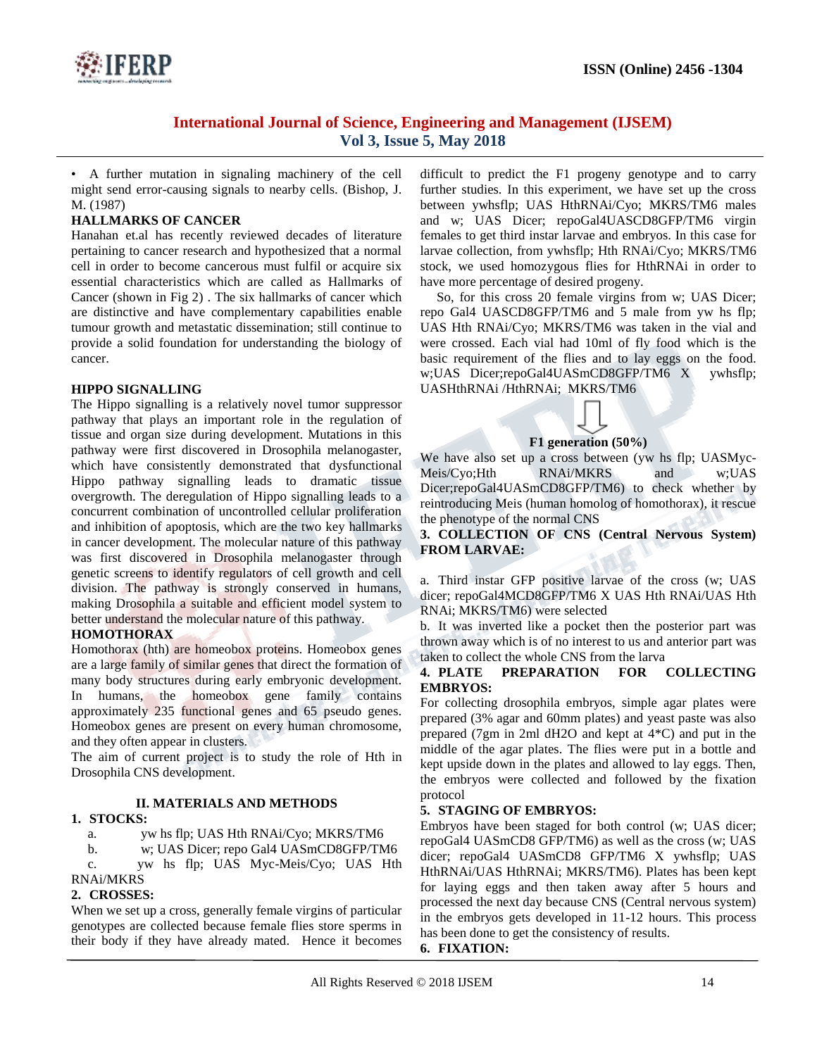

• A further mutation in signaling machinery of the cell might send error-causing signals to nearby cells. (Bishop, J. M. (1987)

## **HALLMARKS OF CANCER**

Hanahan et.al has recently reviewed decades of literature pertaining to cancer research and hypothesized that a normal cell in order to become cancerous must fulfil or acquire six essential characteristics which are called as Hallmarks of Cancer (shown in Fig 2) . The six hallmarks of cancer which are distinctive and have complementary capabilities enable tumour growth and metastatic dissemination; still continue to provide a solid foundation for understanding the biology of cancer.

#### **HIPPO SIGNALLING**

The Hippo signalling is a relatively novel tumor suppressor pathway that plays an important role in the regulation of tissue and organ size during development. Mutations in this pathway were first discovered in Drosophila melanogaster, which have consistently demonstrated that dysfunctional Hippo pathway signalling leads to dramatic tissue overgrowth. The deregulation of Hippo signalling leads to a concurrent combination of uncontrolled cellular proliferation and inhibition of apoptosis, which are the two key hallmarks in cancer development. The molecular nature of this pathway was first discovered in Drosophila melanogaster through genetic screens to identify regulators of cell growth and cell division. The pathway is strongly conserved in humans, making Drosophila a suitable and efficient model system to better understand the molecular nature of this pathway.

## **HOMOTHORAX**

Homothorax (hth) are homeobox proteins. Homeobox genes are a large family of similar genes that direct the formation of many body structures during early embryonic development. In humans, the homeobox gene family contains approximately 235 functional genes and 65 pseudo genes. Homeobox genes are present on every human chromosome, and they often appear in clusters.

The aim of current project is to study the role of Hth in Drosophila CNS development.

## **II. MATERIALS AND METHODS**

## **1. STOCKS:**

a. yw hs flp; UAS Hth RNAi/Cyo; MKRS/TM6

b. w; UAS Dicer; repo Gal4 UASmCD8GFP/TM6 c. yw hs flp; UAS Myc-Meis/Cyo; UAS Hth RNAi/MKRS

# **2. CROSSES:**

When we set up a cross, generally female virgins of particular genotypes are collected because female flies store sperms in their body if they have already mated. Hence it becomes difficult to predict the F1 progeny genotype and to carry further studies. In this experiment, we have set up the cross between ywhsflp; UAS HthRNAi/Cyo; MKRS/TM6 males and w; UAS Dicer; repoGal4UASCD8GFP/TM6 virgin females to get third instar larvae and embryos. In this case for larvae collection, from ywhsflp; Hth RNAi/Cyo; MKRS/TM6 stock, we used homozygous flies for HthRNAi in order to have more percentage of desired progeny.

So, for this cross 20 female virgins from w; UAS Dicer; repo Gal4 UASCD8GFP/TM6 and 5 male from yw hs flp; UAS Hth RNAi/Cyo; MKRS/TM6 was taken in the vial and were crossed. Each vial had 10ml of fly food which is the basic requirement of the flies and to lay eggs on the food. w;UAS Dicer;repoGal4UASmCD8GFP/TM6 X ywhsflp; UASHthRNAi /HthRNAi; MKRS/TM6



#### **F1 generation (50%)**

We have also set up a cross between (yw hs flp; UASMyc-Meis/Cyo;Hth RNAi/MKRS and w;UAS Dicer;repoGal4UASmCD8GFP/TM6) to check whether by reintroducing Meis (human homolog of homothorax), it rescue the phenotype of the normal CNS

## **3. COLLECTION OF CNS (Central Nervous System) FROM LARVAE:**

a. Third instar GFP positive larvae of the cross (w; UAS dicer; repoGal4MCD8GFP/TM6 X UAS Hth RNAi/UAS Hth RNAi; MKRS/TM6) were selected

b. It was inverted like a pocket then the posterior part was thrown away which is of no interest to us and anterior part was taken to collect the whole CNS from the larva

#### **4. PLATE PREPARATION FOR COLLECTING EMBRYOS:**

For collecting drosophila embryos, simple agar plates were prepared (3% agar and 60mm plates) and yeast paste was also prepared (7gm in 2ml dH2O and kept at 4\*C) and put in the middle of the agar plates. The flies were put in a bottle and kept upside down in the plates and allowed to lay eggs. Then, the embryos were collected and followed by the fixation protocol

## **5. STAGING OF EMBRYOS:**

Embryos have been staged for both control (w; UAS dicer; repoGal4 UASmCD8 GFP/TM6) as well as the cross (w; UAS dicer; repoGal4 UASmCD8 GFP/TM6 X ywhsflp; UAS HthRNAi/UAS HthRNAi; MKRS/TM6). Plates has been kept for laying eggs and then taken away after 5 hours and processed the next day because CNS (Central nervous system) in the embryos gets developed in 11-12 hours. This process has been done to get the consistency of results.

**6. FIXATION:**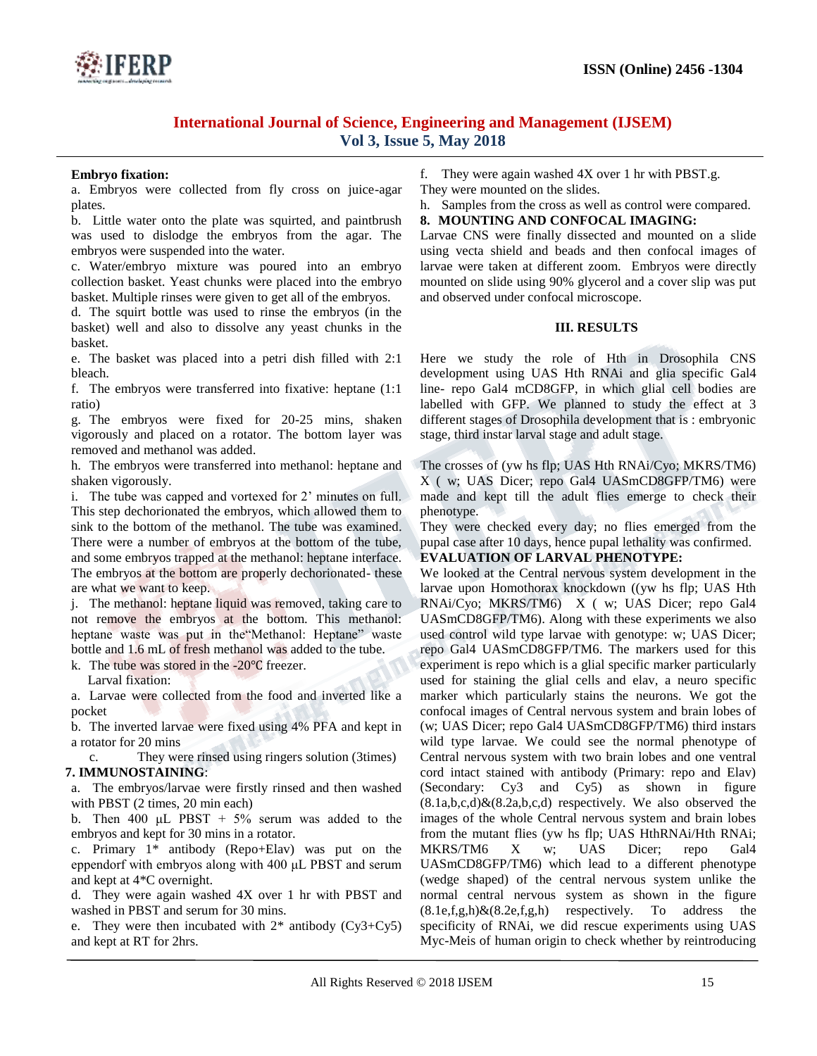

#### **Embryo fixation:**

a. Embryos were collected from fly cross on juice-agar plates.

b. Little water onto the plate was squirted, and paintbrush was used to dislodge the embryos from the agar. The embryos were suspended into the water.

c. Water/embryo mixture was poured into an embryo collection basket. Yeast chunks were placed into the embryo basket. Multiple rinses were given to get all of the embryos.

d. The squirt bottle was used to rinse the embryos (in the basket) well and also to dissolve any yeast chunks in the basket.

e. The basket was placed into a petri dish filled with 2:1 bleach.

f. The embryos were transferred into fixative: heptane (1:1 ratio)

g. The embryos were fixed for 20-25 mins, shaken vigorously and placed on a rotator. The bottom layer was removed and methanol was added.

h. The embryos were transferred into methanol: heptane and shaken vigorously.

i. The tube was capped and vortexed for 2' minutes on full. This step dechorionated the embryos, which allowed them to sink to the bottom of the methanol. The tube was examined. There were a number of embryos at the bottom of the tube, and some embryos trapped at the methanol: heptane interface. The embryos at the bottom are properly dechorionated- these are what we want to keep.

j. The methanol: heptane liquid was removed, taking care to not remove the embryos at the bottom. This methanol: heptane waste was put in the Methanol: Heptane" waste bottle and 1.6 mL of fresh methanol was added to the tube.

k. The tube was stored in the -20℃ freezer.

Larval fixation:

a. Larvae were collected from the food and inverted like a pocket

b. The inverted larvae were fixed using 4% PFA and kept in a rotator for 20 mins

c. They were rinsed using ringers solution (3times) **7. IMMUNOSTAINING**:

a. The embryos/larvae were firstly rinsed and then washed with PBST (2 times, 20 min each)

b. Then 400  $\mu$ L PBST + 5% serum was added to the embryos and kept for 30 mins in a rotator.

c. Primary 1\* antibody (Repo+Elav) was put on the eppendorf with embryos along with 400 μL PBST and serum and kept at 4\*C overnight.

d. They were again washed 4X over 1 hr with PBST and washed in PBST and serum for 30 mins.

e. They were then incubated with  $2^*$  antibody (Cy3+Cy5) and kept at RT for 2hrs.

f. They were again washed 4X over 1 hr with PBST.g.

They were mounted on the slides.

h. Samples from the cross as well as control were compared.

#### **8. MOUNTING AND CONFOCAL IMAGING:**

Larvae CNS were finally dissected and mounted on a slide using vecta shield and beads and then confocal images of larvae were taken at different zoom. Embryos were directly mounted on slide using 90% glycerol and a cover slip was put and observed under confocal microscope.

#### **III. RESULTS**

Here we study the role of Hth in Drosophila CNS development using UAS Hth RNAi and glia specific Gal4 line- repo Gal4 mCD8GFP, in which glial cell bodies are labelled with GFP. We planned to study the effect at 3 different stages of Drosophila development that is : embryonic stage, third instar larval stage and adult stage.

The crosses of (yw hs flp; UAS Hth RNAi/Cyo; MKRS/TM6) X ( w; UAS Dicer; repo Gal4 UASmCD8GFP/TM6) were made and kept till the adult flies emerge to check their phenotype.

They were checked every day; no flies emerged from the pupal case after 10 days, hence pupal lethality was confirmed.

## **EVALUATION OF LARVAL PHENOTYPE:**

We looked at the Central nervous system development in the larvae upon Homothorax knockdown ((yw hs flp; UAS Hth RNAi/Cyo; MKRS/TM6) X ( w; UAS Dicer; repo Gal4 UASmCD8GFP/TM6). Along with these experiments we also used control wild type larvae with genotype: w; UAS Dicer; repo Gal4 UASmCD8GFP/TM6. The markers used for this experiment is repo which is a glial specific marker particularly used for staining the glial cells and elav, a neuro specific marker which particularly stains the neurons. We got the confocal images of Central nervous system and brain lobes of (w; UAS Dicer; repo Gal4 UASmCD8GFP/TM6) third instars wild type larvae. We could see the normal phenotype of Central nervous system with two brain lobes and one ventral cord intact stained with antibody (Primary: repo and Elav) (Secondary: Cy3 and Cy5) as shown in figure  $(8.1a,b,c,d)$ & $(8.2a,b,c,d)$  respectively. We also observed the images of the whole Central nervous system and brain lobes from the mutant flies (yw hs flp; UAS HthRNAi/Hth RNAi; MKRS/TM6 X w: UAS Dicer: repo Gal4 UASmCD8GFP/TM6) which lead to a different phenotype (wedge shaped) of the central nervous system unlike the normal central nervous system as shown in the figure  $(8.1e,f,g,h)\& (8.2e,f,g,h)$  respectively. To address the specificity of RNAi, we did rescue experiments using UAS Myc-Meis of human origin to check whether by reintroducing